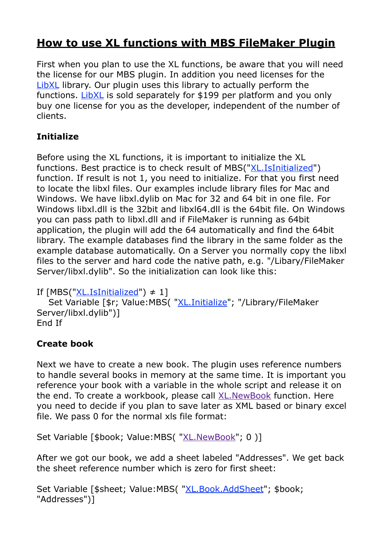# **[How to use XL functions with MBS FileMaker Plugin](https://www.mbsplugins.de/archive/2015-02-09/How_to_use_XL_functions_with_M)**

First when you plan to use the XL functions, be aware that you will need the license for our MBS plugin. In addition you need licenses for the [LibXL](http://www.plimus.com/jsp/redirect.jsp?contractId=2284940&referrer=MonkeybreadSoftware) library. Our plugin uses this library to actually perform the functions. [LibXL](http://www.plimus.com/jsp/redirect.jsp?contractId=2284940&referrer=MonkeybreadSoftware) is sold separately for \$199 per platform and you only buy one license for you as the developer, independent of the number of clients.

## **Initialize**

Before using the XL functions, it is important to initialize the XL functions. Best practice is to check result of MBS("[XL.IsInitialized](http://www.mbsplugins.eu/XLIsInitialized.shtml)") function. If result is not 1, you need to initialize. For that you first need to locate the libxl files. Our examples include library files for Mac and Windows. We have libxl.dylib on Mac for 32 and 64 bit in one file. For Windows libxl.dll is the 32bit and libxl64.dll is the 64bit file. On Windows you can pass path to libxl.dll and if FileMaker is running as 64bit application, the plugin will add the 64 automatically and find the 64bit library. The example databases find the library in the same folder as the example database automatically. On a Server you normally copy the libxl files to the server and hard code the native path, e.g. "/Libary/FileMaker Server/libxl.dylib". So the initialization can look like this:

```
If XL.IsInitialized") \neq 1]
```
 Set Variable [\$r; Value:MBS( ["XL.Initialize](http://www.mbsplugins.eu/XLInitialize.shtml)"; "/Library/FileMaker Server/libxl.dylib")] End If

### **Create book**

Next we have to create a new book. The plugin uses reference numbers to handle several books in memory at the same time. It is important you reference your book with a variable in the whole script and release it on the end. To create a workbook, please call **[XL.NewBook](http://www.mbsplugins.eu/XLNewBook.shtml)** function. Here you need to decide if you plan to save later as XML based or binary excel file. We pass 0 for the normal xls file format:

Set Variable [\$book; Value:MBS( "[XL.NewBook](http://www.mbsplugins.eu/XLNewBook.shtml)"; 0 )]

After we got our book, we add a sheet labeled "Addresses". We get back the sheet reference number which is zero for first sheet:

Set Variable [\$sheet; Value:MBS( "[XL.Book.AddSheet"](http://www.mbsplugins.eu/XLBookAddSheet.shtml); \$book; "Addresses")]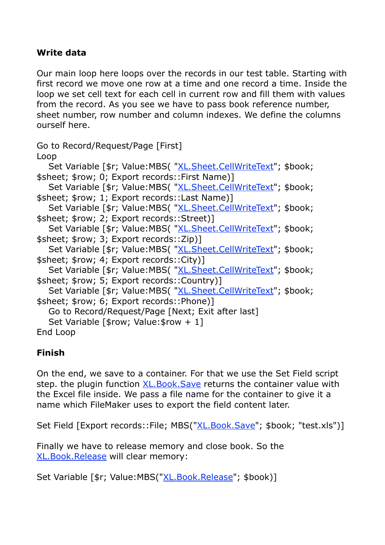#### **Write data**

Our main loop here loops over the records in our test table. Starting with first record we move one row at a time and one record a time. Inside the loop we set cell text for each cell in current row and fill them with values from the record. As you see we have to pass book reference number, sheet number, row number and column indexes. We define the columns ourself here.

```
Go to Record/Request/Page [First] 
Loop 
  "XL.Sheet.CellWriteText"; $book;
$sheet; $row; 0; Export records::First Name)] 
  "XL.Sheet.CellWriteText"; $book;
$sheet; $row; 1; Export records::Last Name)] 
  "XL.Sheet.CellWriteText"; $book;
$sheet; $row; 2; Export records::Street)] 
  "XL.Sheet.CellWriteText"; $book;
$sheet; $row; 3; Export records::Zip)] 
  "XL.Sheet.CellWriteText"; $book;
$sheet; $row; 4; Export records::City)] 
  "XL.Sheet.CellWriteText"; $book;
$sheet; $row; 5; Export records::Country)] 
  "XL.Sheet.CellWriteText"; $book;
$sheet; $row; 6; Export records::Phone)] 
   Go to Record/Request/Page [Next; Exit after last] 
  Set Variable [$row; Value: $row + 1]
End Loop
```
#### **Finish**

On the end, we save to a container. For that we use the Set Field script step. the plugin function [XL.Book.Save](http://www.mbsplugins.eu/XLBookSave.shtml) returns the container value with the Excel file inside. We pass a file name for the container to give it a name which FileMaker uses to export the field content later.

Set Field [Export records::File; MBS("[XL.Book.Save"](http://www.mbsplugins.eu/XLBookSave.shtml); \$book; "test.xls")]

Finally we have to release memory and close book. So the [XL.Book.Release](http://www.mbsplugins.eu/XLBookRelease.shtml) will clear memory:

Set Variable [\$r; Value:MBS(["XL.Book.Release](http://www.mbsplugins.eu/XLBookRelease.shtml)"; \$book)]